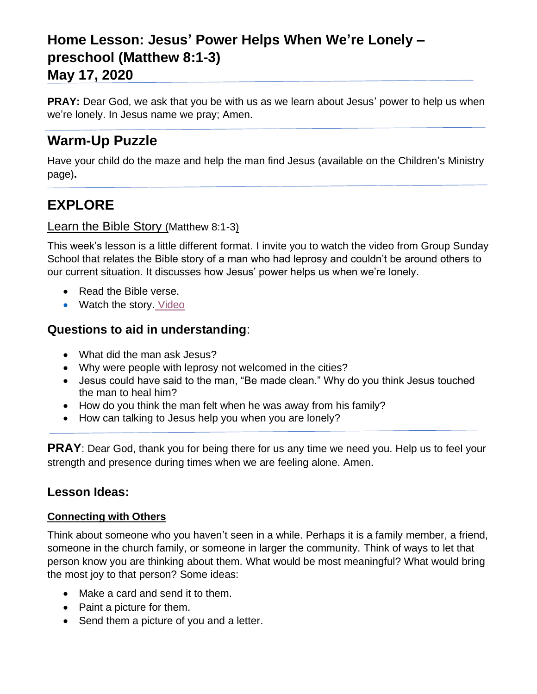# **Home Lesson: Jesus' Power Helps When We're Lonely – preschool (Matthew 8:1-3)**

### **May 17, 2020**

**PRAY:** Dear God, we ask that you be with us as we learn about Jesus' power to help us when we're lonely. In Jesus name we pray; Amen.

# **Warm-Up Puzzle**

Have your child do the maze and help the man find Jesus (available on the Children's Ministry page)**.**

# **EXPLORE**

#### Learn the Bible Story (Matthew 8:1-3)

This week's lesson is a little different format. I invite you to watch the video from Group Sunday School that relates the Bible story of a man who had leprosy and couldn't be around others to our current situation. It discusses how Jesus' power helps us when we're lonely.

- Read the Bible verse.
- Watch the story. [Video](https://www.youtube.com/watch?v=z4i8hvM9J9Q&feature=youtu.be)

### **Questions to aid in understanding**:

- What did the man ask Jesus?
- Why were people with leprosy not welcomed in the cities?
- Jesus could have said to the man, "Be made clean." Why do you think Jesus touched the man to heal him?
- How do you think the man felt when he was away from his family?
- How can talking to Jesus help you when you are lonely?

**PRAY**: Dear God, thank you for being there for us any time we need you. Help us to feel your strength and presence during times when we are feeling alone. Amen.

#### **Lesson Ideas:**

#### **Connecting with Others**

Think about someone who you haven't seen in a while. Perhaps it is a family member, a friend, someone in the church family, or someone in larger the community. Think of ways to let that person know you are thinking about them. What would be most meaningful? What would bring the most joy to that person? Some ideas:

- Make a card and send it to them.
- Paint a picture for them.
- Send them a picture of you and a letter.